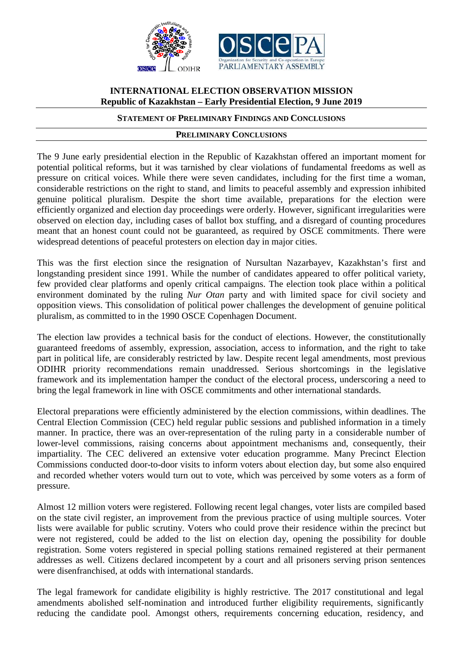

# **INTERNATIONAL ELECTION OBSERVATION MISSION Republic of Kazakhstan – Early Presidential Election, 9 June 2019**

## **STATEMENT OF PRELIMINARY FINDINGS AND CONCLUSIONS**

#### **PRELIMINARY CONCLUSIONS**

The 9 June early presidential election in the Republic of Kazakhstan offered an important moment for potential political reforms, but it was tarnished by clear violations of fundamental freedoms as well as pressure on critical voices. While there were seven candidates, including for the first time a woman, considerable restrictions on the right to stand, and limits to peaceful assembly and expression inhibited genuine political pluralism. Despite the short time available, preparations for the election were efficiently organized and election day proceedings were orderly. However, significant irregularities were observed on election day, including cases of ballot box stuffing, and a disregard of counting procedures meant that an honest count could not be guaranteed, as required by OSCE commitments. There were widespread detentions of peaceful protesters on election day in major cities.

This was the first election since the resignation of Nursultan Nazarbayev, Kazakhstan's first and longstanding president since 1991. While the number of candidates appeared to offer political variety, few provided clear platforms and openly critical campaigns. The election took place within a political environment dominated by the ruling *Nur Otan* party and with limited space for civil society and opposition views. This consolidation of political power challenges the development of genuine political pluralism, as committed to in the 1990 OSCE Copenhagen Document.

The election law provides a technical basis for the conduct of elections. However, the constitutionally guaranteed freedoms of assembly, expression, association, access to information, and the right to take part in political life, are considerably restricted by law. Despite recent legal amendments, most previous ODIHR priority recommendations remain unaddressed. Serious shortcomings in the legislative framework and its implementation hamper the conduct of the electoral process, underscoring a need to bring the legal framework in line with OSCE commitments and other international standards.

Electoral preparations were efficiently administered by the election commissions, within deadlines. The Central Election Commission (CEC) held regular public sessions and published information in a timely manner. In practice, there was an over-representation of the ruling party in a considerable number of lower-level commissions, raising concerns about appointment mechanisms and, consequently, their impartiality. The CEC delivered an extensive voter education programme. Many Precinct Election Commissions conducted door-to-door visits to inform voters about election day, but some also enquired and recorded whether voters would turn out to vote, which was perceived by some voters as a form of pressure.

Almost 12 million voters were registered. Following recent legal changes, voter lists are compiled based on the state civil register, an improvement from the previous practice of using multiple sources. Voter lists were available for public scrutiny. Voters who could prove their residence within the precinct but were not registered, could be added to the list on election day, opening the possibility for double registration. Some voters registered in special polling stations remained registered at their permanent addresses as well. Citizens declared incompetent by a court and all prisoners serving prison sentences were disenfranchised, at odds with international standards.

The legal framework for candidate eligibility is highly restrictive. The 2017 constitutional and legal amendments abolished self-nomination and introduced further eligibility requirements, significantly reducing the candidate pool. Amongst others, requirements concerning education, residency, and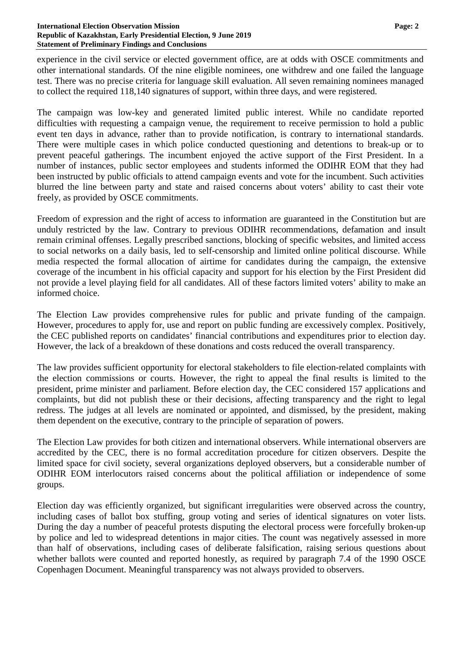experience in the civil service or elected government office, are at odds with OSCE commitments and other international standards. Of the nine eligible nominees, one withdrew and one failed the language test. There was no precise criteria for language skill evaluation. All seven remaining nominees managed to collect the required 118,140 signatures of support, within three days, and were registered.

The campaign was low-key and generated limited public interest. While no candidate reported difficulties with requesting a campaign venue, the requirement to receive permission to hold a public event ten days in advance, rather than to provide notification, is contrary to international standards. There were multiple cases in which police conducted questioning and detentions to break-up or to prevent peaceful gatherings. The incumbent enjoyed the active support of the First President. In a number of instances, public sector employees and students informed the ODIHR EOM that they had been instructed by public officials to attend campaign events and vote for the incumbent. Such activities blurred the line between party and state and raised concerns about voters' ability to cast their vote freely, as provided by OSCE commitments.

Freedom of expression and the right of access to information are guaranteed in the Constitution but are unduly restricted by the law. Contrary to previous ODIHR recommendations, defamation and insult remain criminal offenses. Legally prescribed sanctions, blocking of specific websites, and limited access to social networks on a daily basis, led to self-censorship and limited online political discourse. While media respected the formal allocation of airtime for candidates during the campaign, the extensive coverage of the incumbent in his official capacity and support for his election by the First President did not provide a level playing field for all candidates. All of these factors limited voters' ability to make an informed choice.

The Election Law provides comprehensive rules for public and private funding of the campaign. However, procedures to apply for, use and report on public funding are excessively complex. Positively, the CEC published reports on candidates' financial contributions and expenditures prior to election day. However, the lack of a breakdown of these donations and costs reduced the overall transparency.

The law provides sufficient opportunity for electoral stakeholders to file election-related complaints with the election commissions or courts. However, the right to appeal the final results is limited to the president, prime minister and parliament. Before election day, the CEC considered 157 applications and complaints, but did not publish these or their decisions, affecting transparency and the right to legal redress. The judges at all levels are nominated or appointed, and dismissed, by the president, making them dependent on the executive, contrary to the principle of separation of powers.

The Election Law provides for both citizen and international observers. While international observers are accredited by the CEC, there is no formal accreditation procedure for citizen observers. Despite the limited space for civil society, several organizations deployed observers, but a considerable number of ODIHR EOM interlocutors raised concerns about the political affiliation or independence of some groups.

Election day was efficiently organized, but significant irregularities were observed across the country, including cases of ballot box stuffing, group voting and series of identical signatures on voter lists. During the day a number of peaceful protests disputing the electoral process were forcefully broken-up by police and led to widespread detentions in major cities. The count was negatively assessed in more than half of observations, including cases of deliberate falsification, raising serious questions about whether ballots were counted and reported honestly, as required by paragraph 7.4 of the 1990 OSCE Copenhagen Document. Meaningful transparency was not always provided to observers.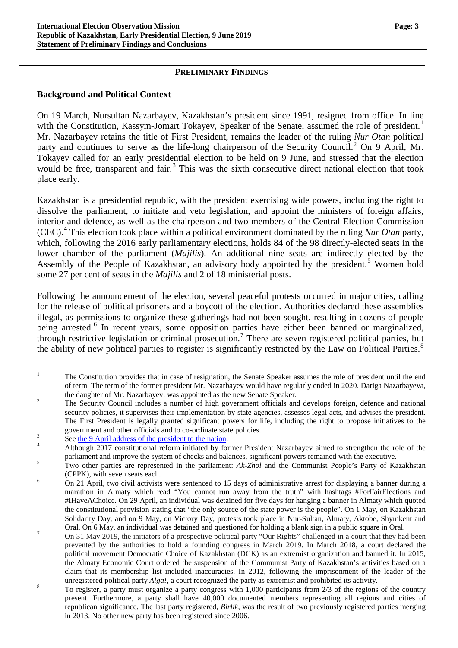#### **PRELIMINARY FINDINGS**

## **Background and Political Context**

On 19 March, Nursultan Nazarbayev, Kazakhstan's president since 1991, resigned from office. In line with the Constitution, Kassym-Jomart Tokayev, Speaker of the Senate, assumed the role of president.<sup>[1](#page-2-0)</sup> Mr. Nazarbayev retains the title of First President, remains the leader of the ruling *Nur Otan* political party and continues to serve as the life-long chairperson of the Security Council.<sup>[2](#page-2-1)</sup> On 9 April, Mr. Tokayev called for an early presidential election to be held on 9 June, and stressed that the election would be free, transparent and fair.<sup>[3](#page-2-2)</sup> This was the sixth consecutive direct national election that took place early.

Kazakhstan is a presidential republic, with the president exercising wide powers, including the right to dissolve the parliament, to initiate and veto legislation, and appoint the ministers of foreign affairs, interior and defence, as well as the chairperson and two members of the Central Election Commission (CEC).[4](#page-2-3) This election took place within a political environment dominated by the ruling *Nur Otan* party, which, following the 2016 early parliamentary elections, holds 84 of the 98 directly-elected seats in the lower chamber of the parliament (*Majilis*). An additional nine seats are indirectly elected by the Assembly of the People of Kazakhstan, an advisory body appointed by the president.<sup>[5](#page-2-4)</sup> Women hold some 27 per cent of seats in the *Majilis* and 2 of 18 ministerial posts.

Following the announcement of the election, several peaceful protests occurred in major cities, calling for the release of political prisoners and a boycott of the election. Authorities declared these assemblies illegal, as permissions to organize these gatherings had not been sought, resulting in dozens of people being arrested.<sup>[6](#page-2-5)</sup> In recent years, some opposition parties have either been banned or marginalized, through restrictive legislation or criminal prosecution.[7](#page-2-6) There are seven registered political parties, but the ability of new political parties to register is significantly restricted by the Law on Political Parties.<sup>[8](#page-2-7)</sup>

<span id="page-2-0"></span><sup>&</sup>lt;sup>1</sup> The Constitution provides that in case of resignation, the Senate Speaker assumes the role of president until the end of term. The term of the former president Mr. Nazarbayev would have regularly ended in 2020. Dariga Nazarbayeva,

<span id="page-2-1"></span>the daughter of Mr. Nazarbayev, was appointed as the new Senate Speaker.<br><sup>2</sup> The Security Council includes a number of high government officials and develops foreign, defence and national security policies, it supervises their implementation by state agencies, assesses legal acts, and advises the president. The First President is legally granted significant powers for life, including the right to propose initiatives to the

<span id="page-2-2"></span>

government and other officials and to co-ordinate state policies.<br>See [the 9 April address of the president to the nation.](http://www.akorda.kz/en/speeches/internal_political_affairs/in_speeches_and_addresses/address-of-the-president-of-kazakhstan-kassym-jomart-tokayev-to-the-nation)<br>Although 2017 constitutional reform initiated by former President Nazarbayev aimed to strengthen the

<span id="page-2-4"></span><span id="page-2-3"></span>parliament and improve the system of checks and balances, significant powers remained with the executive.<br>
Two other parties are represented in the parliament: *Ak-Zhol* and the Communist People's Party of Kazakhstan (CPPK), with seven seats each.<br>
<sup>6</sup> On 21 April, two civil activists were sentenced to 15 days of administrative arrest for displaying a banner during a

<span id="page-2-5"></span>marathon in Almaty which read "You cannot run away from the truth" with hashtags #ForFairElections and #IHaveAChoice. On 29 April, an individual was detained for five days for hanging a banner in Almaty which quoted the constitutional provision stating that "the only source of the state power is the people". On 1 May, on Kazakhstan Solidarity Day, and on 9 May, on Victory Day, protests took place in Nur-Sultan, Almaty, Aktobe, Shymkent and Oral. On 6 May, an individual was detained and questioned for holding a blank sign in a public square in Oral.

<span id="page-2-6"></span><sup>&</sup>lt;sup>7</sup> On 31 May 2019, the initiators of a prospective political party "Our Rights" challenged in a court that they had been prevented by the authorities to hold a founding congress in March 2019. In March 2018, a court declared the political movement Democratic Choice of Kazakhstan (DCK) as an extremist organization and banned it. In 2015, the Almaty Economic Court ordered the suspension of the Communist Party of Kazakhstan's activities based on a claim that its membership list included inaccuracies. In 2012, following the imprisonment of the leader of the

<span id="page-2-7"></span>unregistered political party *Alga!*, a court recognized the party as extremist and prohibited its activity.<br>To register, a party must organize a party congress with 1,000 participants from 2/3 of the regions of the count present. Furthermore, a party shall have 40,000 documented members representing all regions and cities of republican significance. The last party registered, *Birlik*, was the result of two previously registered parties merging in 2013. No other new party has been registered since 2006.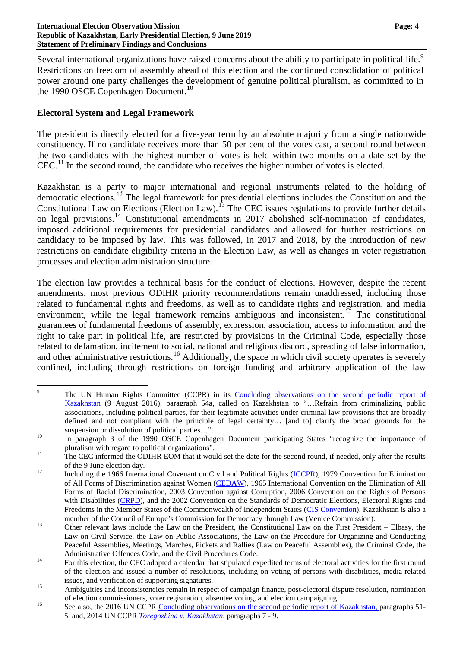Several international organizations have raised concerns about the ability to participate in political life.<sup>[9](#page-3-0)</sup> Restrictions on freedom of assembly ahead of this election and the continued consolidation of political power around one party challenges the development of genuine political pluralism, as committed to in the 1990 OSCE Copenhagen Document.<sup>[10](#page-3-1)</sup>

## **Electoral System and Legal Framework**

The president is directly elected for a five-year term by an absolute majority from a single nationwide constituency. If no candidate receives more than 50 per cent of the votes cast, a second round between the two candidates with the highest number of votes is held within two months on a date set by the  $CEC<sup>11</sup>$  $CEC<sup>11</sup>$  $CEC<sup>11</sup>$  In the second round, the candidate who receives the higher number of votes is elected.

Kazakhstan is a party to major international and regional instruments related to the holding of democratic elections.<sup>[12](#page-3-3)</sup> The legal framework for presidential elections includes the Constitution and the Constitutional Law on Elections (Election Law).<sup>[13](#page-3-4)</sup> The CEC issues regulations to provide further details on legal provisions.<sup>[14](#page-3-5)</sup> Constitutional amendments in 2017 abolished self-nomination of candidates, imposed additional requirements for presidential candidates and allowed for further restrictions on candidacy to be imposed by law. This was followed, in 2017 and 2018, by the introduction of new restrictions on candidate eligibility criteria in the Election Law, as well as changes in voter registration processes and election administration structure.

The election law provides a technical basis for the conduct of elections. However, despite the recent amendments, most previous ODIHR priority recommendations remain unaddressed, including those related to fundamental rights and freedoms, as well as to candidate rights and registration, and media environment, while the legal framework remains ambiguous and inconsistent.<sup>[15](#page-3-6)</sup> The constitutional guarantees of fundamental freedoms of assembly, expression, association, access to information, and the right to take part in political life, are restricted by provisions in the Criminal Code, especially those related to defamation, incitement to social, national and religious discord, spreading of false information, and other administrative restrictions.<sup>[16](#page-3-7)</sup> Additionally, the space in which civil society operates is severely confined, including through restrictions on foreign funding and arbitrary application of the law

<span id="page-3-0"></span><sup>&</sup>lt;sup>9</sup> The UN Human Rights Committee (CCPR) in its Concluding observations on the second periodic report of [Kazakhstan](http://docstore.ohchr.org/SelfServices/FilesHandler.ashx?enc=6QkG1d%2fPPRiCAqhKb7yhsnVLXh7tWotjakJ2A4dlu%2fy2qfDftERdCyCiDGloD6fvzZPyCZ0wxIQtC5PKOS88usA9KTALCc%2bvYBxRUcrhBBAppOyS%2foU4aLnMIOYiy%2blt) (9 August 2016), paragraph 54a, called on Kazakhstan to "...Refrain from criminalizing public associations, including political parties, for their legitimate activities under criminal law provisions that are broadly defined and not compliant with the principle of legal certainty… [and to] clarify the broad grounds for the

suspension or dissolution of political parties…".<br><sup>10</sup> In paragraph 3 of the 1990 OSCE Copenhagen Document participating States "recognize the importance of

<span id="page-3-2"></span><span id="page-3-1"></span>pluralism with regard to political organizations".<br>The CEC informed the ODIHR EOM that it would set the date for the second round, if needed, only after the results

<span id="page-3-3"></span>of the 9 June election day.<br><sup>12</sup> Including the 1966 International Covenant on Civil and Political Rights [\(ICCPR\)](https://treaties.un.org/doc/publication/unts/volume%20999/volume-999-i-14668-english.pdf), 1979 Convention for Elimination of All Forms of Discrimination against Women [\(CEDAW\)](https://www.ohchr.org/en/professionalinterest/pages/cedaw.aspx), 1965 International Convention on the Elimination of All Forms of Racial Discrimination, 2003 Convention against Corruption, 2006 Convention on the Rights of Persons with Disabilities [\(CRPD\)](https://www.ohchr.org/EN/HRBodies/CRPD/Pages/ConventionRightsPersonsWithDisabilities.aspx), and the 2002 Convention on the Standards of Democratic Elections, Electoral Rights and Freedoms in the Member States of the Commonwealth of Independent States [\(CIS Convention\)](https://www.venice.coe.int/webforms/documents/default.aspx?pdffile=CDL-EL(2006)031rev-e). Kazakhstan is also a

<span id="page-3-4"></span>member of the Council of Europe's Commission for Democracy through Law (Venice Commission).<br>
Other relevant laws include the Law on the President, the Constitutional Law on the First President – Elbasy, the Law on Civil Service, the Law on Public Associations, the Law on the Procedure for Organizing and Conducting Peaceful Assemblies, Meetings, Marches, Pickets and Rallies (Law on Peaceful Assemblies), the Criminal Code, the

<span id="page-3-5"></span>Administrative Offences Code, and the Civil Procedures Code.<br>
<sup>14</sup> For this election, the CEC adopted a calendar that stipulated expedited terms of electoral activities for the first round of the election and issued a number of resolutions, including on voting of persons with disabilities, media-related issues, and verification of supporting signatures.<br>Ambiguities and inconsistencies remain in respect of campaign finance, post-electoral dispute resolution, nomination

<span id="page-3-6"></span>of election commissioners, voter registration, absentee voting, and election campaigning.<br><sup>16</sup> See also, the 2016 UN CCPR [Concluding observations on the second periodic report of Kazakhstan,](http://docstore.ohchr.org/SelfServices/FilesHandler.ashx?enc=6QkG1d%2FPPRiCAqhKb7yhsnVLXh7tWotjakJ2A4dlu%2Fy2qfDftERdCyCiDGloD6fvzZPyCZ0wxIQtC5PKOS88usA9KTALCc%2BvYBxRUcrhBBAppOyS%2FoU4aLnMIOYiy%2Blt) paragraphs 51-

<span id="page-3-7"></span><sup>5,</sup> and, 2014 UN CCPR *[Toregozhina v. Kazakhstan](https://tbinternet.ohchr.org/_layouts/15/treatybodyexternal/Download.aspx?symbolno=CCPR/C/112/D/2137/2012&Lang=en)*, paragraphs 7 - 9.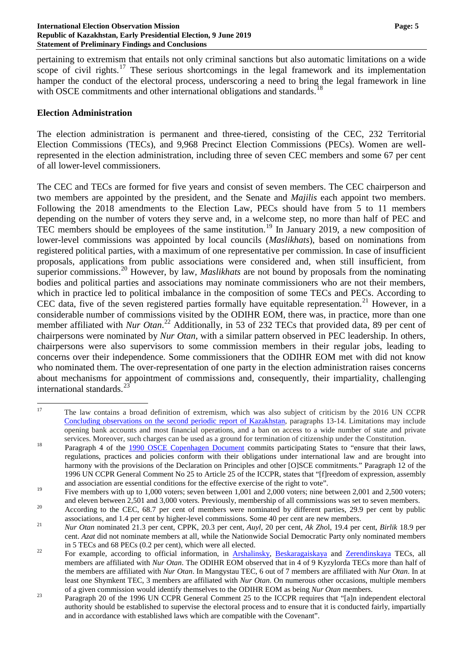pertaining to extremism that entails not only criminal sanctions but also automatic limitations on a wide scope of civil rights.<sup>[17](#page-4-0)</sup> These serious shortcomings in the legal framework and its implementation hamper the conduct of the electoral process, underscoring a need to bring the legal framework in line with OSCE commitments and other international obligations and standards.<sup>[18](#page-4-1)</sup>

### **Election Administration**

The election administration is permanent and three-tiered, consisting of the CEC, 232 Territorial Election Commissions (TECs), and 9,968 Precinct Election Commissions (PECs). Women are wellrepresented in the election administration, including three of seven CEC members and some 67 per cent of all lower-level commissioners.

The CEC and TECs are formed for five years and consist of seven members. The CEC chairperson and two members are appointed by the president, and the Senate and *Majilis* each appoint two members. Following the 2018 amendments to the Election Law, PECs should have from 5 to 11 members depending on the number of voters they serve and, in a welcome step, no more than half of PEC and TEC members should be employees of the same institution.<sup>[19](#page-4-2)</sup> In January 2019, a new composition of lower-level commissions was appointed by local councils (*Maslikhats*), based on nominations from registered political parties, with a maximum of one representative per commission. In case of insufficient proposals, applications from public associations were considered and, when still insufficient, from superior commissions. [20](#page-4-3) However, by law, *Maslikhats* are not bound by proposals from the nominating bodies and political parties and associations may nominate commissioners who are not their members, which in practice led to political imbalance in the composition of some TECs and PECs. According to CEC data, five of the seven registered parties formally have equitable representation.<sup>[21](#page-4-4)</sup> However, in a considerable number of commissions visited by the ODIHR EOM, there was, in practice, more than one member affiliated with *Nur Otan*. [22](#page-4-5) Additionally, in 53 of 232 TECs that provided data, 89 per cent of chairpersons were nominated by *Nur Otan,* with a similar pattern observed in PEC leadership. In others, chairpersons were also supervisors to some commission members in their regular jobs, leading to concerns over their independence. Some commissioners that the ODIHR EOM met with did not know who nominated them. The over-representation of one party in the election administration raises concerns about mechanisms for appointment of commissions and, consequently, their impartiality, challenging international standards.<sup>2</sup>

<span id="page-4-0"></span><sup>&</sup>lt;sup>17</sup> The law contains a broad definition of extremism, which was also subject of criticism by the 2016 UN CCPR [Concluding observations on the second periodic report of Kazakhstan,](http://docstore.ohchr.org/SelfServices/FilesHandler.ashx?enc=6QkG1d%2FPPRiCAqhKb7yhsnVLXh7tWotjakJ2A4dlu%2Fy2qfDftERdCyCiDGloD6fvzZPyCZ0wxIQtC5PKOS88usA9KTALCc%2BvYBxRUcrhBBAppOyS%2FoU4aLnMIOYiy%2Blt) paragraphs 13-14. Limitations may include opening bank accounts and most financial operations, and a ban on access to a wide number of state and private

<span id="page-4-1"></span>services. Moreover, such charges can be used as a ground for termination of citizenship under the Constitution.<br><sup>18</sup> Paragraph 4 of the [1990 OSCE Copenhagen Document](https://www.osce.org/odihr/elections/14304?download=true) commits participating States to "ensure that their laws, regulations, practices and policies conform with their obligations under international law and are brought into harmony with the provisions of the Declaration on Principles and other [O]SCE commitments." Paragraph 12 of the 1996 UN CCPR General Comment No 25 to Article 25 of the ICCPR, states that "[f]reedom of expression, assembly and association are essential conditions for the effective exercise of the right to vote".

<span id="page-4-2"></span><sup>&</sup>lt;sup>19</sup> Five members with up to 1,000 voters; seven between 1,001 and 2,000 voters; nine between 2,001 and 2,500 voters; and eleven between 2,501 and 3,000 voters. Previously, membership of all commissions was set to seven members.<br><sup>20</sup> According to the CEC, 68.7 per cent of members were nominated by different parties, 29.9 per cent by publi

<span id="page-4-3"></span>associations, and 1.4 per cent by higher-level commissions. Some 40 per cent are new members.<br>
Nur Otan nominated 21.3 per cent, CPPK, 20.3 per cent, Auyl, 20 per cent, Ak Zhol, 19.4 per cent, Birlik 18.9 per

<span id="page-4-4"></span>cent. *Azat* did not nominate members at all, while the Nationwide Social Democratic Party only nominated members in 5 TECs and 68 PECs (0.2 per cent), which were all elected.

<span id="page-4-5"></span><sup>&</sup>lt;sup>22</sup> For example, according to official information, in [Arshalinsky,](http://aqmola.gov.kz/page/read/Sostav_Arshalynskoj_rajonnoj_territorialnoj_izbiratelnoj_komissii.html?lang=ru) [Beskaragaiskaya](http://www.beskaragay.vko.gov.kz/ru/election.htm?mobile=off) and [Zerendinskaya](http://aqmola.gov.kz/page/read/Sostav_Zerendinskoj_rajonnoj_territorialnoj_izbiratelnoj_komissii_Akmolinskoj_oblasti.html?lang=ru) TECs, all members are affiliated with *Nur Otan*. The ODIHR EOM observed that in 4 of 9 Kyzylorda TECs more than half of the members are affiliated with *Nur Otan*. In Mangystau TEC, 6 out of 7 members are affiliated with *Nur Otan*. In at least one Shymkent TEC, 3 members are affiliated with *Nur Otan*. On numerous other occasions, multiple members

<span id="page-4-6"></span>of a given commission would identify themselves to the ODIHR EOM as being *Nur Otan* members. <sup>23</sup> Paragraph 20 of the 1996 UN CCPR General Comment 25 to the ICCPR requires that "[a]n independent electoral authority should be established to supervise the electoral process and to ensure that it is conducted fairly, impartially and in accordance with established laws which are compatible with the Covenant".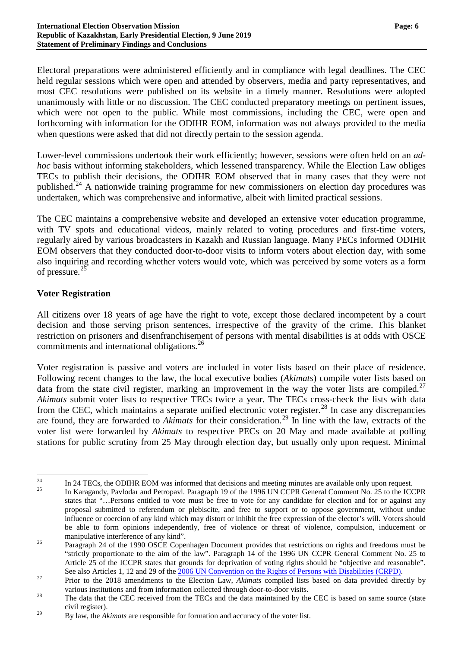Electoral preparations were administered efficiently and in compliance with legal deadlines. The CEC held regular sessions which were open and attended by observers, media and party representatives, and most CEC resolutions were published on its website in a timely manner. Resolutions were adopted unanimously with little or no discussion. The CEC conducted preparatory meetings on pertinent issues, which were not open to the public. While most commissions, including the CEC, were open and forthcoming with information for the ODIHR EOM, information was not always provided to the media when questions were asked that did not directly pertain to the session agenda.

Lower-level commissions undertook their work efficiently; however, sessions were often held on an *adhoc* basis without informing stakeholders, which lessened transparency. While the Election Law obliges TECs to publish their decisions, the ODIHR EOM observed that in many cases that they were not published.<sup>[24](#page-5-0)</sup> A nationwide training programme for new commissioners on election day procedures was undertaken, which was comprehensive and informative, albeit with limited practical sessions.

The CEC maintains a comprehensive website and developed an extensive voter education programme, with TV spots and educational videos, mainly related to voting procedures and first-time voters, regularly aired by various broadcasters in Kazakh and Russian language. Many PECs informed ODIHR EOM observers that they conducted door-to-door visits to inform voters about election day, with some also inquiring and recording whether voters would vote, which was perceived by some voters as a form of pressure.<sup>[25](#page-5-1)</sup>

## **Voter Registration**

All citizens over 18 years of age have the right to vote, except those declared incompetent by a court decision and those serving prison sentences, irrespective of the gravity of the crime. This blanket restriction on prisoners and disenfranchisement of persons with mental disabilities is at odds with OSCE commitments and international obligations. [26](#page-5-2)

Voter registration is passive and voters are included in voter lists based on their place of residence. Following recent changes to the law, the local executive bodies (*Akimats*) compile voter lists based on data from the state civil register, marking an improvement in the way the voter lists are compiled.<sup>[27](#page-5-3)</sup> *Akimats* submit voter lists to respective TECs twice a year. The TECs cross-check the lists with data from the CEC, which maintains a separate unified electronic voter register.<sup>[28](#page-5-4)</sup> In case any discrepancies are found, they are forwarded to *Akimats* for their consideration.<sup>[29](#page-5-5)</sup> In line with the law, extracts of the voter list were forwarded by *Akimats* to respective PECs on 20 May and made available at polling stations for public scrutiny from 25 May through election day, but usually only upon request. Minimal

<span id="page-5-0"></span><sup>&</sup>lt;sup>24</sup> In 24 TECs, the ODIHR EOM was informed that decisions and meeting minutes are available only upon request.<br><sup>25</sup> In Karagandy, Pavlodar and Petropavl. Paragraph 19 of the 1996 UN CCPR General Comment No. 25 to the ICC

<span id="page-5-1"></span>states that "…Persons entitled to vote must be free to vote for any candidate for election and for or against any proposal submitted to referendum or plebiscite, and free to support or to oppose government, without undue influence or coercion of any kind which may distort or inhibit the free expression of the elector's will. Voters should be able to form opinions independently, free of violence or threat of violence, compulsion, inducement or manipulative interference of any kind".<br>Paragraph 24 of the 1990 OSCE Copenhagen Document provides that restrictions on rights and freedoms must be

<span id="page-5-2"></span><sup>&</sup>quot;strictly proportionate to the aim of the law". Paragraph 14 of the 1996 UN CCPR General Comment No. 25 to Article 25 of the ICCPR states that grounds for deprivation of voting rights should be "objective and reasonable".

<span id="page-5-3"></span>See also Articles 1, 12 and 29 of the [2006 UN Convention on the Rights of Persons with Disabilities \(CRPD\).](https://www.un.org/development/desa/disabilities/convention-on-the-rights-of-persons-with-disabilities/convention-on-the-rights-of-persons-with-disabilities-2.html)<br>Prior to the 2018 amendments to the Election Law, Akimats compiled lists based on data provided directly by

<span id="page-5-4"></span>various institutions and from information collected through door-to-door visits.<br><sup>28</sup> The data that the CEC received from the TECs and the data maintained by the CEC is based on same source (state civil register).

<span id="page-5-5"></span><sup>&</sup>lt;sup>29</sup> By law, the *Akimats* are responsible for formation and accuracy of the voter list.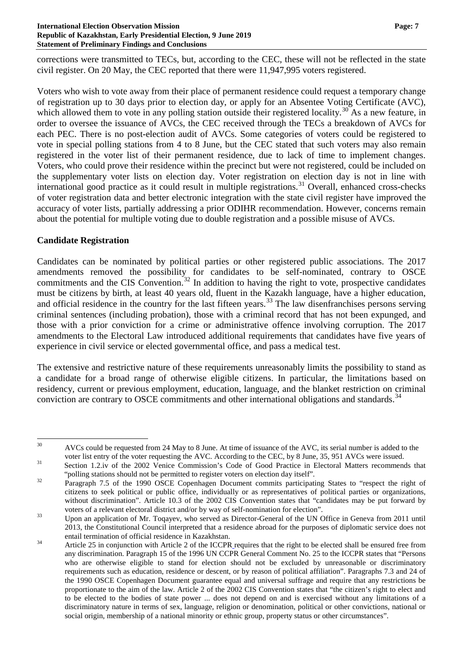corrections were transmitted to TECs, but, according to the CEC, these will not be reflected in the state civil register. On 20 May, the CEC reported that there were 11,947,995 voters registered.

Voters who wish to vote away from their place of permanent residence could request a temporary change of registration up to 30 days prior to election day, or apply for an Absentee Voting Certificate (AVC), which allowed them to vote in any polling station outside their registered locality.<sup>[30](#page-6-0)</sup> As a new feature, in order to oversee the issuance of AVCs, the CEC received through the TECs a breakdown of AVCs for each PEC. There is no post-election audit of AVCs. Some categories of voters could be registered to vote in special polling stations from 4 to 8 June, but the CEC stated that such voters may also remain registered in the voter list of their permanent residence, due to lack of time to implement changes. Voters, who could prove their residence within the precinct but were not registered, could be included on the supplementary voter lists on election day. Voter registration on election day is not in line with international good practice as it could result in multiple registrations.<sup>[31](#page-6-1)</sup> Overall, enhanced cross-checks of voter registration data and better electronic integration with the state civil register have improved the accuracy of voter lists, partially addressing a prior ODIHR recommendation. However, concerns remain about the potential for multiple voting due to double registration and a possible misuse of AVCs.

# **Candidate Registration**

Candidates can be nominated by political parties or other registered public associations. The 2017 amendments removed the possibility for candidates to be self-nominated, contrary to OSCE commitments and the CIS Convention.<sup>[32](#page-6-2)</sup> In addition to having the right to vote, prospective candidates must be citizens by birth, at least 40 years old, fluent in the Kazakh language, have a higher education, and official residence in the country for the last fifteen years.<sup>[33](#page-6-3)</sup> The law disenfranchises persons serving criminal sentences (including probation), those with a criminal record that has not been expunged, and those with a prior conviction for a crime or administrative offence involving corruption. The 2017 amendments to the Electoral Law introduced additional requirements that candidates have five years of experience in civil service or elected governmental office, and pass a medical test.

The extensive and restrictive nature of these requirements unreasonably limits the possibility to stand as a candidate for a broad range of otherwise eligible citizens. In particular, the limitations based on residency, current or previous employment, education, language, and the blanket restriction on criminal conviction are contrary to OSCE commitments and other international obligations and standards.<sup>[34](#page-6-4)</sup>

<span id="page-6-0"></span><sup>&</sup>lt;sup>30</sup> AVCs could be requested from 24 May to 8 June. At time of issuance of the AVC, its serial number is added to the

<span id="page-6-1"></span>voter list entry of the voter requesting the AVC. According to the CEC, by 8 June, 35, 951 AVCs were issued.<br>
31 Section 1.2.iv of the 2002 Venice Commission's Code of Good Practice in Electoral Matters recommends that "polling stations should not be permitted to register voters on election day itself". <sup>32</sup> Paragraph 7.5 of the 1990 OSCE Copenhagen Document commits participating States to "respect the right of

<span id="page-6-2"></span>citizens to seek political or public office, individually or as representatives of political parties or organizations, without discrimination". Article 10.3 of the 2002 CIS Convention states that "candidates may be put forward by

<span id="page-6-3"></span>voters of a relevant electoral district and/or by way of self-nomination for election".<br>Upon an application of Mr. Toqayev, who served as Director-General of the UN Office in Geneva from 2011 until 2013, the Constitutional Council interpreted that a residence abroad for the purposes of diplomatic service does not

<span id="page-6-4"></span><sup>&</sup>lt;sup>34</sup> Article 25 in conjunction with Article 2 of the ICCPR requires that the right to be elected shall be ensured free from any discrimination. Paragraph 15 of the 1996 UN CCPR General Comment No. 25 to the ICCPR states that "Persons who are otherwise eligible to stand for election should not be excluded by unreasonable or discriminatory requirements such as education, residence or descent, or by reason of political affiliation". Paragraphs 7.3 and 24 of the 1990 OSCE Copenhagen Document guarantee equal and universal suffrage and require that any restrictions be proportionate to the aim of the law. Article 2 of the 2002 CIS Convention states that "the citizen's right to elect and to be elected to the bodies of state power ... does not depend on and is exercised without any limitations of a discriminatory nature in terms of sex, language, religion or denomination, political or other convictions, national or social origin, membership of a national minority or ethnic group, property status or other circumstances".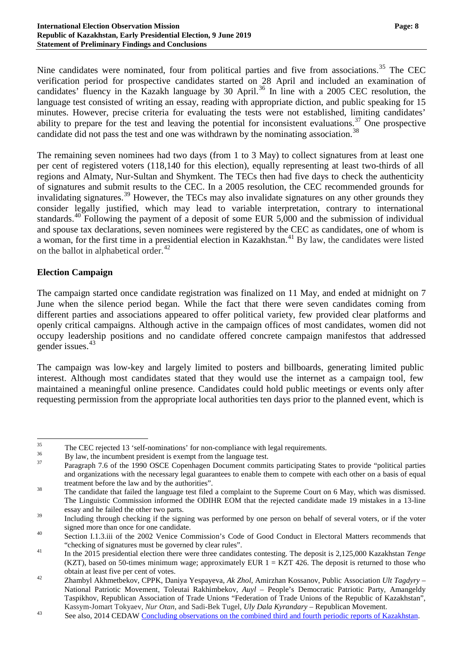Nine candidates were nominated, four from political parties and five from associations.<sup>[35](#page-7-0)</sup> The CEC verification period for prospective candidates started on 28 April and included an examination of candidates' fluency in the Kazakh language by 30 April. [36](#page-7-1) In line with a 2005 CEC resolution, the language test consisted of writing an essay, reading with appropriate diction, and public speaking for 15 minutes. However, precise criteria for evaluating the tests were not established, limiting candidates' ability to prepare for the test and leaving the potential for inconsistent evaluations.<sup>[37](#page-7-2)</sup> One prospective candidate did not pass the test and one was withdrawn by the nominating association.<sup>[38](#page-7-3)</sup>

The remaining seven nominees had two days (from 1 to 3 May) to collect signatures from at least one per cent of registered voters (118,140 for this election), equally representing at least two-thirds of all regions and Almaty, Nur-Sultan and Shymkent. The TECs then had five days to check the authenticity of signatures and submit results to the CEC. In a 2005 resolution, the CEC recommended grounds for invalidating signatures.<sup>[39](#page-7-4)</sup> However, the TECs may also invalidate signatures on any other grounds they consider legally justified, which may lead to variable interpretation, contrary to international standards.<sup>[40](#page-7-5)</sup> Following the payment of a deposit of some EUR 5,000 and the submission of individual and spouse tax declarations, seven nominees were registered by the CEC as candidates, one of whom is a woman, for the first time in a presidential election in Kazakhstan.<sup>[41](#page-7-6)</sup> By law, the candidates were listed on the ballot in alphabetical order.<sup>[42](#page-7-7)</sup>

## **Election Campaign**

The campaign started once candidate registration was finalized on 11 May, and ended at midnight on 7 June when the silence period began. While the fact that there were seven candidates coming from different parties and associations appeared to offer political variety, few provided clear platforms and openly critical campaigns. Although active in the campaign offices of most candidates, women did not occupy leadership positions and no candidate offered concrete campaign manifestos that addressed gender issues.[43](#page-7-8)

The campaign was low-key and largely limited to posters and billboards, generating limited public interest. Although most candidates stated that they would use the internet as a campaign tool, few maintained a meaningful online presence. Candidates could hold public meetings or events only after requesting permission from the appropriate local authorities ten days prior to the planned event, which is

<span id="page-7-2"></span><span id="page-7-1"></span>

<span id="page-7-0"></span><sup>&</sup>lt;sup>35</sup><br>The CEC rejected 13 'self-nominations' for non-compliance with legal requirements.<br>By law, the incumbent president is exempt from the language test.<br>Paragraph 7.6 of the 1990 OSCE Copenhagen Document commits participa and organizations with the necessary legal guarantees to enable them to compete with each other on a basis of equal

<span id="page-7-3"></span>treatment before the law and by the authorities".<br>The candidate that failed the language test filed a complaint to the Supreme Court on 6 May, which was dismissed. The Linguistic Commission informed the ODIHR EOM that the rejected candidate made 19 mistakes in a 13-line essay and he failed the other two parts.

<span id="page-7-4"></span><sup>&</sup>lt;sup>39</sup> Including through checking if the signing was performed by one person on behalf of several voters, or if the voter signed more than once for one candidate.<br>40 Section I.1.3.iii of the 2002 Venice Commission's Code of Good Conduct in Electoral Matters recommends that

<span id="page-7-6"></span><span id="page-7-5"></span><sup>&</sup>quot;checking of signatures must be governed by clear rules". <sup>41</sup> In the 2015 presidential election there were three candidates contesting. The deposit is 2,125,000 Kazakhstan *Tenge* (KZT), based on 50-times minimum wage; approximately EUR  $1 = KZT$  426. The deposit is returned to those who

<span id="page-7-7"></span>obtain at least five per cent of votes. <sup>42</sup> Zhambyl Akhmetbekov, CPPK, Daniya Yespayeva, *Ak Zhol*, Amirzhan Kossanov, Public Association *Ult Tagdyry* – National Patriotic Movement, Toleutai Rakhimbekov, *Auyl* – People's Democratic Patriotic Party, Amangeldy Taspikhov, Republican Association of Trade Unions "Federation of Trade Unions of the Republic of Kazakhstan",

<span id="page-7-8"></span>Kassym-Jomart Tokyaev, *Nur Otan*, and Sadi-Bek Tugel, *Uly Dala Kyrandary* – Republican Movement.<br><sup>43</sup> See also, 2014 CEDAW [Concluding observations on the combined third and fourth periodic reports of Kazakhstan.](https://tbinternet.ohchr.org/_layouts/treatybodyexternal/Download.aspx?symbolno=CEDAW/C/KAZ/CO/3-4&Lang=En)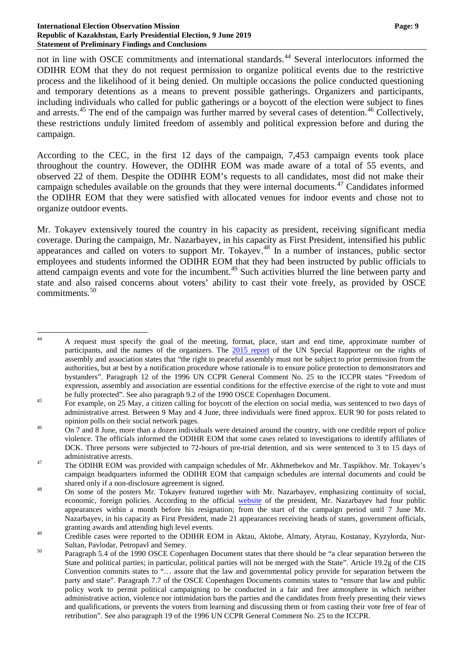not in line with OSCE commitments and international standards.<sup>[44](#page-8-0)</sup> Several interlocutors informed the ODIHR EOM that they do not request permission to organize political events due to the restrictive process and the likelihood of it being denied. On multiple occasions the police conducted questioning and temporary detentions as a means to prevent possible gatherings. Organizers and participants, including individuals who called for public gatherings or a boycott of the election were subject to fines and arrests.<sup>[45](#page-8-1)</sup> The end of the campaign was further marred by several cases of detention.<sup>[46](#page-8-2)</sup> Collectively, these restrictions unduly limited freedom of assembly and political expression before and during the campaign.

According to the CEC, in the first 12 days of the campaign, 7,453 campaign events took place throughout the country. However, the ODIHR EOM was made aware of a total of 55 events, and observed 22 of them. Despite the ODIHR EOM's requests to all candidates, most did not make their campaign schedules available on the grounds that they were internal documents.<sup>[47](#page-8-3)</sup> Candidates informed the ODIHR EOM that they were satisfied with allocated venues for indoor events and chose not to organize outdoor events.

Mr. Tokayev extensively toured the country in his capacity as president, receiving significant media coverage. During the campaign, Mr. Nazarbayev, in his capacity as First President, intensified his public appearances and called on voters to support Mr. Tokayev.<sup>[48](#page-8-4)</sup> In a number of instances, public sector employees and students informed the ODIHR EOM that they had been instructed by public officials to attend campaign events and vote for the incumbent.<sup>[49](#page-8-5)</sup> Such activities blurred the line between party and state and also raised concerns about voters' ability to cast their vote freely, as provided by OSCE commitments<sup>[50](#page-8-6)</sup>

<span id="page-8-0"></span><sup>&</sup>lt;sup>44</sup> A request must specify the goal of the meeting, format, place, start and end time, approximate number of participants, and the names of the organizers. The [2015 report](https://documents-dds-ny.un.org/doc/UNDOC/GEN/G15/126/64/PDF/G1512664.pdf?OpenElement) of the UN Special Rapporteur on the rights of assembly and association states that "the right to peaceful assembly must not be subject to prior permission from the authorities, but at best by a notification procedure whose rationale is to ensure police protection to demonstrators and bystanders". Paragraph 12 of the 1996 UN CCPR General Comment No. 25 to the ICCPR states "Freedom of expression, assembly and association are essential conditions for the effective exercise of the right to vote and must

<span id="page-8-1"></span>be fully protected". See also paragraph 9.2 of the 1990 OSCE Copenhagen Document.<br><sup>45</sup> For example, on 25 May, a citizen calling for boycott of the election on social media, was sentenced to two days of administrative arrest. Between 9 May and 4 June, three individuals were fined approx. EUR 90 for posts related to opinion polls on their social network pages.<br>On 7 and 8 June, more than a dozen individuals were detained around the country, with one credible report of police

<span id="page-8-2"></span>violence. The officials informed the ODIHR EOM that some cases related to investigations to identify affiliates of DCK. Three persons were subjected to 72-hours of pre-trial detention, and six were sentenced to 3 to 15 days of

<span id="page-8-3"></span>administrative arrests.<br>
47 The ODIHR EOM was provided with campaign schedules of Mr. Akhmetbekov and Mr. Taspikhov. Mr. Tokayev's campaign headquarters informed the ODIHR EOM that campaign schedules are internal documents and could be

<span id="page-8-4"></span>shared only if a non-disclosure agreement is signed.<br>
On some of the posters Mr. Tokayev featured together with Mr. Nazarbayev, emphasizing continuity of social, economic, foreign policies. According to the official [website](http://www.akorda.kz/en/speeches/internal_political_affairs/in_speeches_and_addresses/address-of-the-president-of-kazakhstan-kassym-jomart-tokayev-to-the-nation) of the president, Mr. Nazarbayev had four public appearances within a month before his resignation; from the start of the campaign period until 7 June Mr. Nazarbayev, in his capacity as First President, made 21 appearances receiving heads of states, government officials, granting awards and attending high level events.

<span id="page-8-5"></span><sup>&</sup>lt;sup>49</sup> Credible cases were reported to the ODIHR EOM in Aktau, Aktobe, Almaty, Atyrau, Kostanay, Kyzylorda, Nur-Sultan, Pavlodar, Petropavl and Semey.<br>
Paragraph 5.4 of the 1990 OSCE Copenhagen Document states that there should be "a clear separation between the

<span id="page-8-6"></span>State and political parties; in particular, political parties will not be merged with the State". Article 19.2g of the CIS Convention commits states to "… assure that the law and governmental policy provide for separation between the party and state". Paragraph 7.7 of the OSCE Copenhagen Documents commits states to "ensure that law and public policy work to permit political campaigning to be conducted in a fair and free atmosphere in which neither administrative action, violence nor intimidation bars the parties and the candidates from freely presenting their views and qualifications, or prevents the voters from learning and discussing them or from casting their vote free of fear of retribution". See also paragraph 19 of the 1996 UN CCPR General Comment No. 25 to the ICCPR.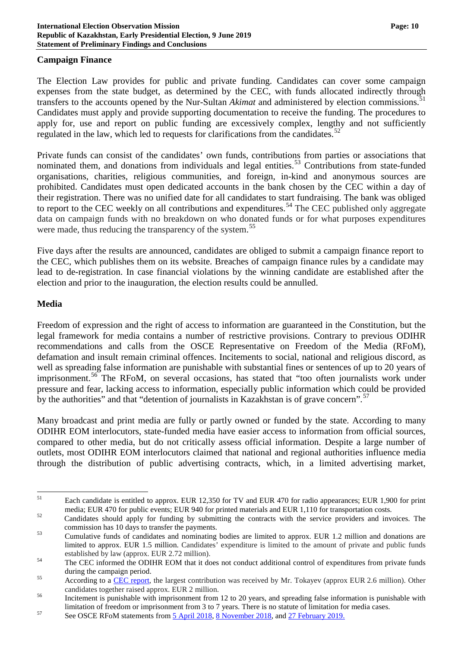#### **Campaign Finance**

The Election Law provides for public and private funding. Candidates can cover some campaign expenses from the state budget, as determined by the CEC, with funds allocated indirectly through transfers to the accounts opened by the Nur-Sultan *Akimat* and administered by election commissions. [51](#page-9-0) Candidates must apply and provide supporting documentation to receive the funding. The procedures to apply for, use and report on public funding are excessively complex, lengthy and not sufficiently regulated in the law, which led to requests for clarifications from the candidates.<sup>[52](#page-9-1)</sup>

Private funds can consist of the candidates' own funds, contributions from parties or associations that nominated them, and donations from individuals and legal entities.<sup>[53](#page-9-2)</sup> Contributions from state-funded organisations, charities, religious communities, and foreign, in-kind and anonymous sources are prohibited. Candidates must open dedicated accounts in the bank chosen by the CEC within a day of their registration. There was no unified date for all candidates to start fundraising. The bank was obliged to report to the CEC weekly on all contributions and expenditures.<sup>[54](#page-9-3)</sup> The CEC published only aggregate data on campaign funds with no breakdown on who donated funds or for what purposes expenditures were made, thus reducing the transparency of the system.<sup>[55](#page-9-4)</sup>

Five days after the results are announced, candidates are obliged to submit a campaign finance report to the CEC, which publishes them on its website. Breaches of campaign finance rules by a candidate may lead to de-registration. In case financial violations by the winning candidate are established after the election and prior to the inauguration, the election results could be annulled.

#### **Media**

Freedom of expression and the right of access to information are guaranteed in the Constitution, but the legal framework for media contains a number of restrictive provisions. Contrary to previous ODIHR recommendations and calls from the OSCE Representative on Freedom of the Media (RFoM), defamation and insult remain criminal offences. Incitements to social, national and religious discord, as well as spreading false information are punishable with substantial fines or sentences of up to 20 years of imprisonment.<sup>[56](#page-9-5)</sup> The RFoM, on several occasions, has stated that "too often journalists work under pressure and fear, lacking access to information, especially public information which could be provided by the authorities" and that "detention of journalists in Kazakhstan is of grave concern".<sup>[57](#page-9-6)</sup>

Many broadcast and print media are fully or partly owned or funded by the state. According to many ODIHR EOM interlocutors, state-funded media have easier access to information from official sources, compared to other media, but do not critically assess official information. Despite a large number of outlets, most ODIHR EOM interlocutors claimed that national and regional authorities influence media through the distribution of public advertising contracts, which, in a limited advertising market,

<span id="page-9-0"></span><sup>&</sup>lt;sup>51</sup> Each candidate is entitled to approx. EUR 12,350 for TV and EUR 470 for radio appearances; EUR 1,900 for print

<span id="page-9-1"></span>media; EUR 470 for public events; EUR 940 for printed materials and EUR 1,110 for transportation costs.<br>Candidates should apply for funding by submitting the contracts with the service providers and invoices. The commissio

<span id="page-9-2"></span><sup>&</sup>lt;sup>53</sup> Cumulative funds of candidates and nominating bodies are limited to approx. EUR 1.2 million and donations are limited to approx. EUR 1.5 million. Candidates' expenditure is limited to the amount of private and public funds established by law (approx. EUR 2.72 million).<br>The CEC informed the ODIHR EOM that it does not conduct additional control of expenditures from private funds

<span id="page-9-3"></span>during the campaign period.<br>
According to a [CEC report,](http://www.election.gov.kz/rus/informatsiya-o-vyborakh-i-referendumakh-v-rk/informatsiya-o-tekushchey-izbiratelnoy-kampanii.php) the largest contribution was received by Mr. Tokayev (approx EUR 2.6 million). Other

<span id="page-9-4"></span>candidates together raised approx. EUR 2 million.<br><sup>56</sup> Incitement is punishable with imprisonment from 12 to 20 years, and spreading false information is punishable with

<span id="page-9-5"></span>limitation of freedom or imprisonment from 3 to 7 years. There is no statute of limitation for media cases.<br>See OSCE RFoM statements fro[m 5 April 2018,](https://www.osce.org/representative-on-freedom-of-media/376966) [8 November 2018,](https://www.osce.org/representative-on-freedom-of-media/402419) an[d 27 February 2019.](https://www.osce.org/representative-on-freedom-of-media/412628)

<span id="page-9-6"></span>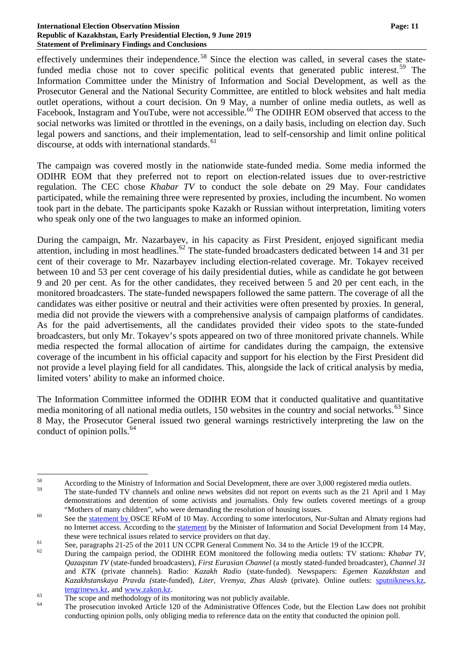effectively undermines their independence.<sup>[58](#page-10-0)</sup> Since the election was called, in several cases the state-funded media chose not to cover specific political events that generated public interest.<sup>[59](#page-10-1)</sup> The Information Committee under the Ministry of Information and Social Development, as well as the Prosecutor General and the National Security Committee, are entitled to block websites and halt media outlet operations, without a court decision. On 9 May, a number of online media outlets, as well as Facebook, Instagram and YouTube, were not accessible.<sup>[60](#page-10-2)</sup> The ODIHR EOM observed that access to the social networks was limited or throttled in the evenings, on a daily basis, including on election day. Such legal powers and sanctions, and their implementation, lead to self-censorship and limit online political discourse, at odds with international standards.<sup>[61](#page-10-3)</sup>

The campaign was covered mostly in the nationwide state-funded media. Some media informed the ODIHR EOM that they preferred not to report on election-related issues due to over-restrictive regulation. The CEC chose *Khabar TV* to conduct the sole debate on 29 May. Four candidates participated, while the remaining three were represented by proxies, including the incumbent. No women took part in the debate. The participants spoke Kazakh or Russian without interpretation, limiting voters who speak only one of the two languages to make an informed opinion.

During the campaign, Mr. Nazarbayev, in his capacity as First President, enjoyed significant media attention, including in most headlines.<sup>[62](#page-10-4)</sup> The state-funded broadcasters dedicated between 14 and 31 per cent of their coverage to Mr. Nazarbayev including election-related coverage. Mr. Tokayev received between 10 and 53 per cent coverage of his daily presidential duties, while as candidate he got between 9 and 20 per cent. As for the other candidates, they received between 5 and 20 per cent each, in the monitored broadcasters. The state-funded newspapers followed the same pattern. The coverage of all the candidates was either positive or neutral and their activities were often presented by proxies. In general, media did not provide the viewers with a comprehensive analysis of campaign platforms of candidates. As for the paid advertisements, all the candidates provided their video spots to the state-funded broadcasters, but only Mr. Tokayev's spots appeared on two of three monitored private channels. While media respected the formal allocation of airtime for candidates during the campaign, the extensive coverage of the incumbent in his official capacity and support for his election by the First President did not provide a level playing field for all candidates. This, alongside the lack of critical analysis by media, limited voters' ability to make an informed choice.

The Information Committee informed the ODIHR EOM that it conducted qualitative and quantitative media monitoring of all national media outlets, 150 websites in the country and social networks.<sup>[63](#page-10-5)</sup> Since 8 May, the Prosecutor General issued two general warnings restrictively interpreting the law on the conduct of opinion polls. $^{64}$  $^{64}$  $^{64}$ 

<span id="page-10-0"></span> $58$  According to the Ministry of Information and Social Development, there are over 3,000 registered media outlets.

<span id="page-10-1"></span>The state-funded TV channels and online news websites did not report on events such as the 21 April and 1 May demonstrations and detention of some activists and journalists. Only few outlets covered meetings of a group "Mothers of many children", who were demanding the resolution of housing issues.<br>See the [statement](https://twitter.com/osce_rfom/status/1126888630595645441?s=11) by OSCE RFoM of 10 May. According to some interlocutors, Nur-Sultan and Almaty regions had

<span id="page-10-2"></span>no Internet access. According to the **statement** by the Minister of Information and Social Development from 14 May, these were technical issues related to service providers on that day.<br>See, paragraphs 21-25 of the 2011 UN CCPR General Comment No. 34 to the Article 19 of the ICCPR.<br>During the campaign period, the ODIHR EOM monitored the

<span id="page-10-3"></span>

<span id="page-10-4"></span>*Qazaqstan TV* (state-funded broadcasters)*, First Eurasian Channel* (a mostly stated-funded broadcaster)*, Channel 31*  and *KTK* (private channels)*.* Radio: *Kazakh Radio* (state-funded). Newspapers: *Egemen Kazakhstan* and *Kazakhstanskaya Pravda (*state-funded), *Liter*, *Vremya, Zhas Alash* (private). Online outlets: [sputniknews.kz,](https://sputniknews.kz/)  $t_{\text{energy}}$  the scope and methodology of its monitoring was not publicly available.<br>
<sup>64</sup> The prosecution invoked Article 120 of the Administrative Offences Code, but the Election Law does not prohibit

<span id="page-10-5"></span>

<span id="page-10-6"></span>conducting opinion polls, only obliging media to reference data on the entity that conducted the opinion poll.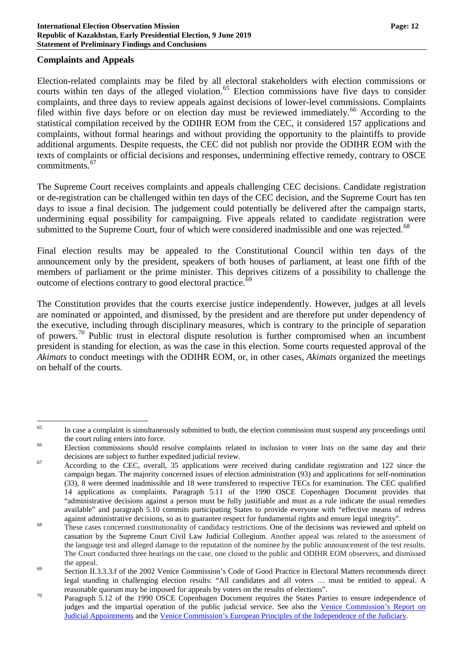#### **Complaints and Appeals**

Election-related complaints may be filed by all electoral stakeholders with election commissions or courts within ten days of the alleged violation.<sup>[65](#page-11-0)</sup> Election commissions have five days to consider complaints, and three days to review appeals against decisions of lower-level commissions. Complaints filed within five days before or on election day must be reviewed immediately.<sup>[66](#page-11-1)</sup> According to the statistical compilation received by the ODIHR EOM from the CEC, it considered 157 applications and complaints, without formal hearings and without providing the opportunity to the plaintiffs to provide additional arguments. Despite requests, the CEC did not publish nor provide the ODIHR EOM with the texts of complaints or official decisions and responses, undermining effective remedy, contrary to OSCE commitments. [67](#page-11-2)

The Supreme Court receives complaints and appeals challenging CEC decisions. Candidate registration or de-registration can be challenged within ten days of the CEC decision, and the Supreme Court has ten days to issue a final decision. The judgement could potentially be delivered after the campaign starts, undermining equal possibility for campaigning. Five appeals related to candidate registration were submitted to the Supreme Court, four of which were considered inadmissible and one was rejected.<sup>[68](#page-11-3)</sup>

Final election results may be appealed to the Constitutional Council within ten days of the announcement only by the president, speakers of both houses of parliament, at least one fifth of the members of parliament or the prime minister. This deprives citizens of a possibility to challenge the outcome of elections contrary to good electoral practice.<sup>[69](#page-11-4)</sup>

The Constitution provides that the courts exercise justice independently. However, judges at all levels are nominated or appointed, and dismissed, by the president and are therefore put under dependency of the executive, including through disciplinary measures, which is contrary to the principle of separation of powers.<sup>[70](#page-11-5)</sup> Public trust in electoral dispute resolution is further compromised when an incumbent president is standing for election, as was the case in this election. Some courts requested approval of the *Akimats* to conduct meetings with the ODIHR EOM, or, in other cases, *Akimats* organized the meetings on behalf of the courts.

<span id="page-11-0"></span><sup>&</sup>lt;sup>65</sup> In case a complaint is simultaneously submitted to both, the election commission must suspend any proceedings until

<span id="page-11-1"></span>the court ruling enters into force.<br><sup>66</sup> Election commissions should resolve complaints related to inclusion to voter lists on the same day and their

<span id="page-11-2"></span>decisions are subject to further expedited judicial review.<br>According to the CEC, overall, 35 applications were received during candidate registration and 122 since the campaign began. The majority concerned issues of election administration (93) and applications for self-nomination (33), 8 were deemed inadmissible and 18 were transferred to respective TECs for examination. The CEC qualified 14 applications as complaints. Paragraph 5.11 of the 1990 OSCE Copenhagen Document provides that "administrative decisions against a person must be fully justifiable and must as a rule indicate the usual remedies available" and paragraph 5.10 commits participating States to provide everyone with "effective means of redress against administrative decisions, so as to guarantee respect for fundamental rights and ensure legal integrity".<br>These cases concerned constitutionality of candidacy restrictions. One of the decisions was reviewed and uphe

<span id="page-11-3"></span>cassation by the Supreme Court Civil Law Judicial Collegium. Another appeal was related to the assessment of the language test and alleged damage to the reputation of the nominee by the public announcement of the test results. The Court conducted three hearings on the case, one closed to the public and ODIHR EOM observers, and dismissed

<span id="page-11-4"></span>the appeal.<br>
Section II.3.3.3.f of the 2002 Venice Commission's Code of Good Practice in Electoral Matters recommends direct legal standing in challenging election results: "All candidates and all voters … must be entitled to appeal. A

<span id="page-11-5"></span>reasonable quorum may be imposed for appeals by voters on the results of elections".<br>  $\frac{70}{2}$  Paragraph 5.12 of the 1990 OSCE Copenhagen Document requires the States Parties to ensure independence of judges and the impartial operation of the public judicial service. See also the [Venice Commission's](https://www.venice.coe.int/webforms/documents/default.aspx?pdffile=CDL-AD%282007%29028-e) Report on [Judicial Appointments](https://www.venice.coe.int/webforms/documents/default.aspx?pdffile=CDL-AD%282007%29028-e) and the Venice Commission's [European Principles of the Independence of the Judiciary.](https://www.venice.coe.int/webforms/documents/default.aspx?pdffile=CDL-JD(2008)002-e)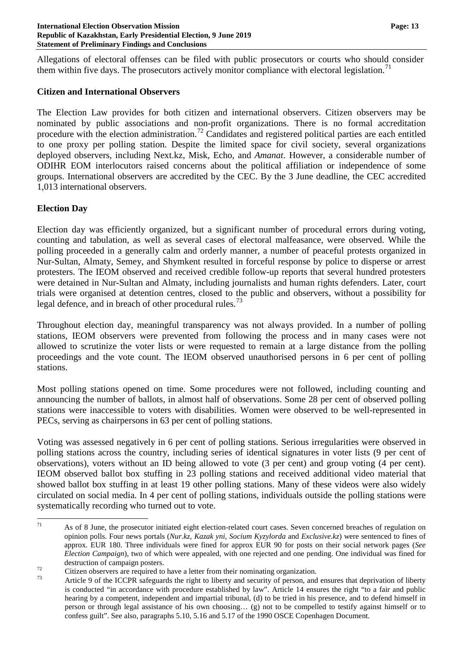Allegations of electoral offenses can be filed with public prosecutors or courts who should consider them within five days. The prosecutors actively monitor compliance with electoral legislation.<sup>[71](#page-12-0)</sup>

#### **Citizen and International Observers**

The Election Law provides for both citizen and international observers. Citizen observers may be nominated by public associations and non-profit organizations. There is no formal accreditation procedure with the election administration.<sup>[72](#page-12-1)</sup> Candidates and registered political parties are each entitled to one proxy per polling station. Despite the limited space for civil society, several organizations deployed observers, including Next.kz, Misk, Echo, and *Amanat*. However, a considerable number of ODIHR EOM interlocutors raised concerns about the political affiliation or independence of some groups. International observers are accredited by the CEC. By the 3 June deadline, the CEC accredited 1,013 international observers.

## **Election Day**

Election day was efficiently organized, but a significant number of procedural errors during voting, counting and tabulation, as well as several cases of electoral malfeasance, were observed. While the polling proceeded in a generally calm and orderly manner, a number of peaceful protests organized in Nur-Sultan, Almaty, Semey, and Shymkent resulted in forceful response by police to disperse or arrest protesters. The IEOM observed and received credible follow-up reports that several hundred protesters were detained in Nur-Sultan and Almaty, including journalists and human rights defenders. Later, court trials were organised at detention centres, closed to the public and observers, without a possibility for legal defence, and in breach of other procedural rules.<sup>[73](#page-12-2)</sup>

Throughout election day, meaningful transparency was not always provided. In a number of polling stations, IEOM observers were prevented from following the process and in many cases were not allowed to scrutinize the voter lists or were requested to remain at a large distance from the polling proceedings and the vote count. The IEOM observed unauthorised persons in 6 per cent of polling stations.

Most polling stations opened on time. Some procedures were not followed, including counting and announcing the number of ballots, in almost half of observations. Some 28 per cent of observed polling stations were inaccessible to voters with disabilities. Women were observed to be well-represented in PECs, serving as chairpersons in 63 per cent of polling stations.

Voting was assessed negatively in 6 per cent of polling stations. Serious irregularities were observed in polling stations across the country, including series of identical signatures in voter lists (9 per cent of observations), voters without an ID being allowed to vote (3 per cent) and group voting (4 per cent). IEOM observed ballot box stuffing in 23 polling stations and received additional video material that showed ballot box stuffing in at least 19 other polling stations. Many of these videos were also widely circulated on social media. In 4 per cent of polling stations, individuals outside the polling stations were systematically recording who turned out to vote.

<span id="page-12-0"></span> $71$  As of 8 June, the prosecutor initiated eight election-related court cases. Seven concerned breaches of regulation on opinion polls. Four news portals (*Nur.kz*, *Kazak yni*, *Socium Kyzylorda* and *Exclusive.kz*) were sentenced to fines of approx. EUR 180. Three individuals were fined for approx EUR 90 for posts on their social network pages (*See Election Campaign*), two of which were appealed, with one rejected and one pending. One individual was fined for

<span id="page-12-2"></span><span id="page-12-1"></span>

destruction of campaign posters.<br>Citizen observers are required to have a letter from their nominating organization.<br>Article 9 of the ICCPR safeguards the right to liberty and security of person, and ensures that deprivati is conducted "in accordance with procedure established by law". Article 14 ensures the right "to a fair and public hearing by a competent, independent and impartial tribunal, (d) to be tried in his presence, and to defend himself in person or through legal assistance of his own choosing… (g) not to be compelled to testify against himself or to confess guilt". See also, paragraphs 5.10, 5.16 and 5.17 of the 1990 OSCE Copenhagen Document.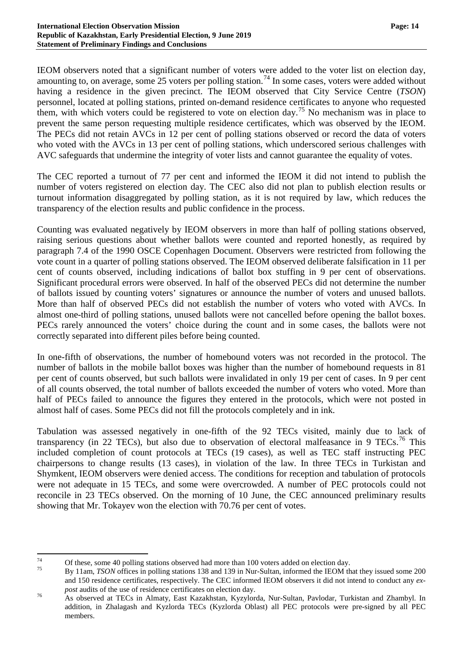IEOM observers noted that a significant number of voters were added to the voter list on election day, amounting to, on average, some  $25$  voters per polling station.<sup>[74](#page-13-0)</sup> In some cases, voters were added without having a residence in the given precinct. The IEOM observed that City Service Centre (*TSON*) personnel, located at polling stations, printed on-demand residence certificates to anyone who requested them, with which voters could be registered to vote on election day.<sup>[75](#page-13-1)</sup> No mechanism was in place to prevent the same person requesting multiple residence certificates, which was observed by the IEOM. The PECs did not retain AVCs in 12 per cent of polling stations observed or record the data of voters who voted with the AVCs in 13 per cent of polling stations, which underscored serious challenges with AVC safeguards that undermine the integrity of voter lists and cannot guarantee the equality of votes.

The CEC reported a turnout of 77 per cent and informed the IEOM it did not intend to publish the number of voters registered on election day. The CEC also did not plan to publish election results or turnout information disaggregated by polling station, as it is not required by law, which reduces the transparency of the election results and public confidence in the process.

Counting was evaluated negatively by IEOM observers in more than half of polling stations observed, raising serious questions about whether ballots were counted and reported honestly, as required by paragraph 7.4 of the 1990 OSCE Copenhagen Document. Observers were restricted from following the vote count in a quarter of polling stations observed. The IEOM observed deliberate falsification in 11 per cent of counts observed, including indications of ballot box stuffing in 9 per cent of observations. Significant procedural errors were observed. In half of the observed PECs did not determine the number of ballots issued by counting voters' signatures or announce the number of voters and unused ballots. More than half of observed PECs did not establish the number of voters who voted with AVCs. In almost one-third of polling stations, unused ballots were not cancelled before opening the ballot boxes. PECs rarely announced the voters' choice during the count and in some cases, the ballots were not correctly separated into different piles before being counted.

In one-fifth of observations, the number of homebound voters was not recorded in the protocol. The number of ballots in the mobile ballot boxes was higher than the number of homebound requests in 81 per cent of counts observed, but such ballots were invalidated in only 19 per cent of cases. In 9 per cent of all counts observed, the total number of ballots exceeded the number of voters who voted. More than half of PECs failed to announce the figures they entered in the protocols, which were not posted in almost half of cases. Some PECs did not fill the protocols completely and in ink.

Tabulation was assessed negatively in one-fifth of the 92 TECs visited, mainly due to lack of transparency (in 22 TECs), but also due to observation of electoral malfeasance in 9 TECs.<sup>[76](#page-13-2)</sup> This included completion of count protocols at TECs (19 cases), as well as TEC staff instructing PEC chairpersons to change results (13 cases), in violation of the law. In three TECs in Turkistan and Shymkent, IEOM observers were denied access. The conditions for reception and tabulation of protocols were not adequate in 15 TECs, and some were overcrowded. A number of PEC protocols could not reconcile in 23 TECs observed. On the morning of 10 June, the CEC announced preliminary results showing that Mr. Tokayev won the election with 70.76 per cent of votes.

<span id="page-13-1"></span>

<span id="page-13-0"></span><sup>&</sup>lt;sup>74</sup> Of these, some 40 polling stations observed had more than 100 voters added on election day.<br><sup>75</sup> By 11am, *TSON* offices in polling stations 138 and 139 in Nur-Sultan, informed the IEOM that they issued some 200 and 150 residence certificates, respectively. The CEC informed IEOM observers it did not intend to conduct any *ex-*

<span id="page-13-2"></span>*post* audits of the use of residence certificates on election day.<br><sup>76</sup> As observed at TECs in Almaty, East Kazakhstan, Kyzylorda, Nur-Sultan, Pavlodar, Turkistan and Zhambyl. In addition, in Zhalagash and Kyzlorda TECs (Kyzlorda Oblast) all PEC protocols were pre-signed by all PEC members.